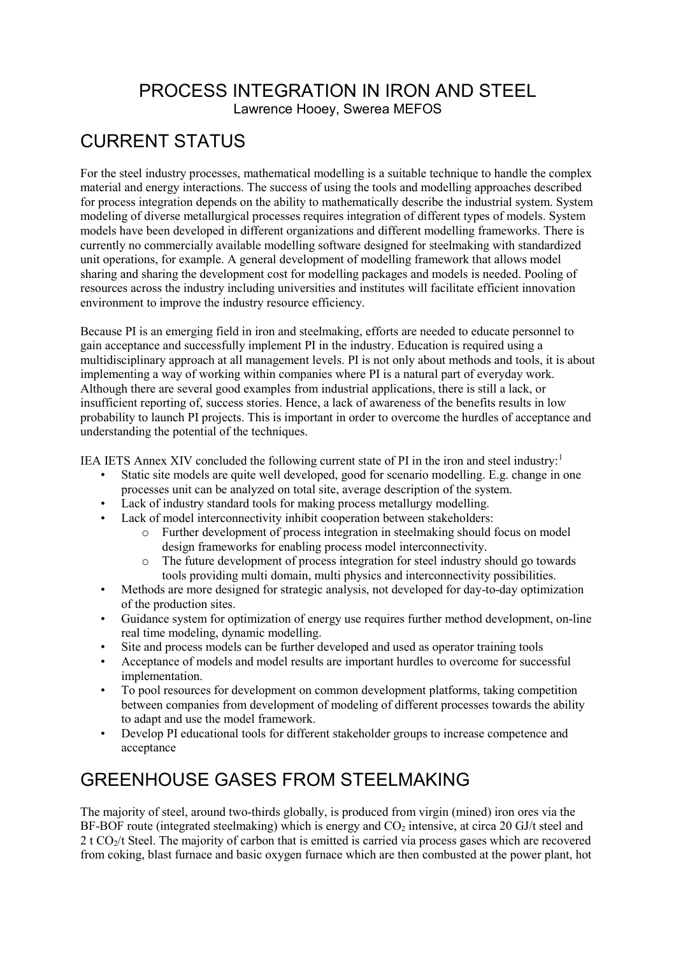PROCESS INTEGRATION IN IRON AND STEEL Lawrence Hooey, Swerea MEFOS

## CURRENT STATUS

For the steel industry processes, mathematical modelling is a suitable technique to handle the complex material and energy interactions. The success of using the tools and modelling approaches described for process integration depends on the ability to mathematically describe the industrial system. System modeling of diverse metallurgical processes requires integration of different types of models. System models have been developed in different organizations and different modelling frameworks. There is currently no commercially available modelling software designed for steelmaking with standardized unit operations, for example. A general development of modelling framework that allows model sharing and sharing the development cost for modelling packages and models is needed. Pooling of resources across the industry including universities and institutes will facilitate efficient innovation environment to improve the industry resource efficiency.

Because PI is an emerging field in iron and steelmaking, efforts are needed to educate personnel to gain acceptance and successfully implement PI in the industry. Education is required using a multidisciplinary approach at all management levels. PI is not only about methods and tools, it is about implementing a way of working within companies where PI is a natural part of everyday work. Although there are several good examples from industrial applications, there is still a lack, or insufficient reporting of, success stories. Hence, a lack of awareness of the benefits results in low probability to launch PI projects. This is important in order to overcome the hurdles of acceptance and understanding the potential of the techniques.

IEA IETS Annex XIV concluded the following current state of PI in the iron and steel industry:<sup>[1](#page-2-0)</sup>

- Static site models are quite well developed, good for scenario modelling. E.g. change in one processes unit can be analyzed on total site, average description of the system.
- Lack of industry standard tools for making process metallurgy modelling.
- Lack of model interconnectivity inhibit cooperation between stakeholders:
	- o Further development of process integration in steelmaking should focus on model design frameworks for enabling process model interconnectivity.
	- o The future development of process integration for steel industry should go towards tools providing multi domain, multi physics and interconnectivity possibilities.
- Methods are more designed for strategic analysis, not developed for day-to-day optimization of the production sites.
- Guidance system for optimization of energy use requires further method development, on-line real time modeling, dynamic modelling.
- Site and process models can be further developed and used as operator training tools
- Acceptance of models and model results are important hurdles to overcome for successful implementation.
- To pool resources for development on common development platforms, taking competition between companies from development of modeling of different processes towards the ability to adapt and use the model framework.
- Develop PI educational tools for different stakeholder groups to increase competence and acceptance

## GREENHOUSE GASES FROM STEELMAKING

The majority of steel, around two-thirds globally, is produced from virgin (mined) iron ores via the BF-BOF route (integrated steelmaking) which is energy and  $CO<sub>2</sub>$  intensive, at circa 20 GJ/t steel and 2 t CO<sub>2</sub>/t Steel. The majority of carbon that is emitted is carried via process gases which are recovered from coking, blast furnace and basic oxygen furnace which are then combusted at the power plant, hot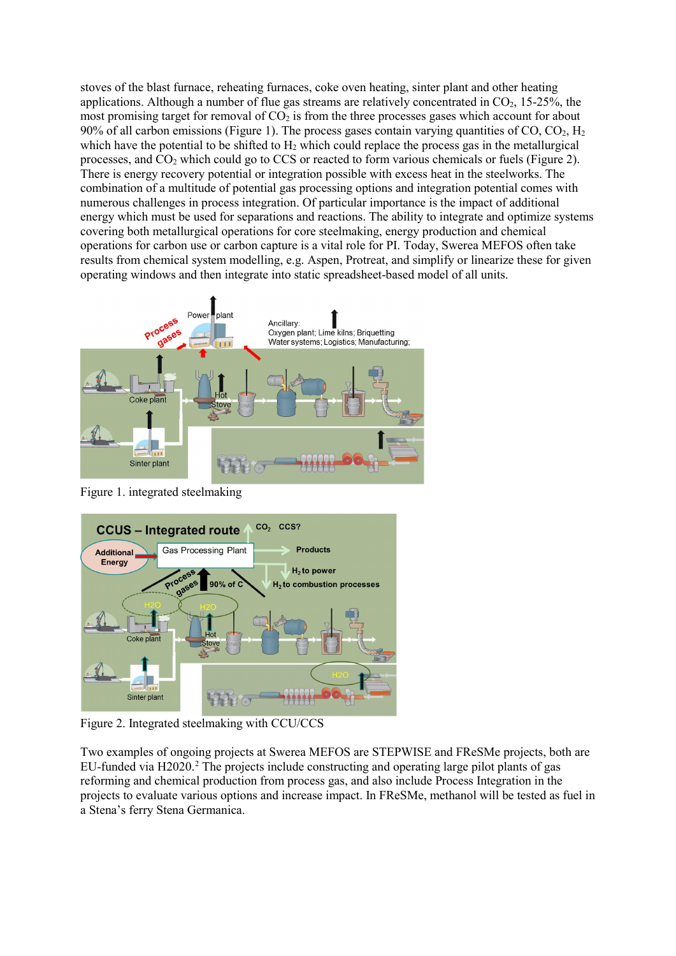stoves of the blast furnace, reheating furnaces, coke oven heating, sinter plant and other heating applications. Although a number of flue gas streams are relatively concentrated in  $CO<sub>2</sub>$ , 15-25%, the most promising target for removal of  $CO<sub>2</sub>$  is from the three processes gases which account for about 90% of all carbon emissions (Figure 1). The process gases contain varying quantities of CO, CO<sub>2</sub>, H<sub>2</sub> which have the potential to be shifted to  $H_2$  which could replace the process gas in the metallurgical processes, and  $CO<sub>2</sub>$  which could go to CCS or reacted to form various chemicals or fuels (Figure 2). There is energy recovery potential or integration possible with excess heat in the steelworks. The combination of a multitude of potential gas processing options and integration potential comes with numerous challenges in process integration. Of particular importance is the impact of additional energy which must be used for separations and reactions. The ability to integrate and optimize systems covering both metallurgical operations for core steelmaking, energy production and chemical operations for carbon use or carbon capture is a vital role for PI. Today, Swerea MEFOS often take results from chemical system modelling, e.g. Aspen, Protreat, and simplify or linearize these for given operating windows and then integrate into static spreadsheet-based model of all units.



Figure 1. integrated steelmaking



Figure 2. Integrated steelmaking with CCU/CCS

Two examples of ongoing projects at Swerea MEFOS are STEPWISE and FReSMe projects, both are EU-funded via H2020. [2](#page-2-1) The projects include constructing and operating large pilot plants of gas reforming and chemical production from process gas, and also include Process Integration in the projects to evaluate various options and increase impact. In FReSMe, methanol will be tested as fuel in a Stena's ferry Stena Germanica.